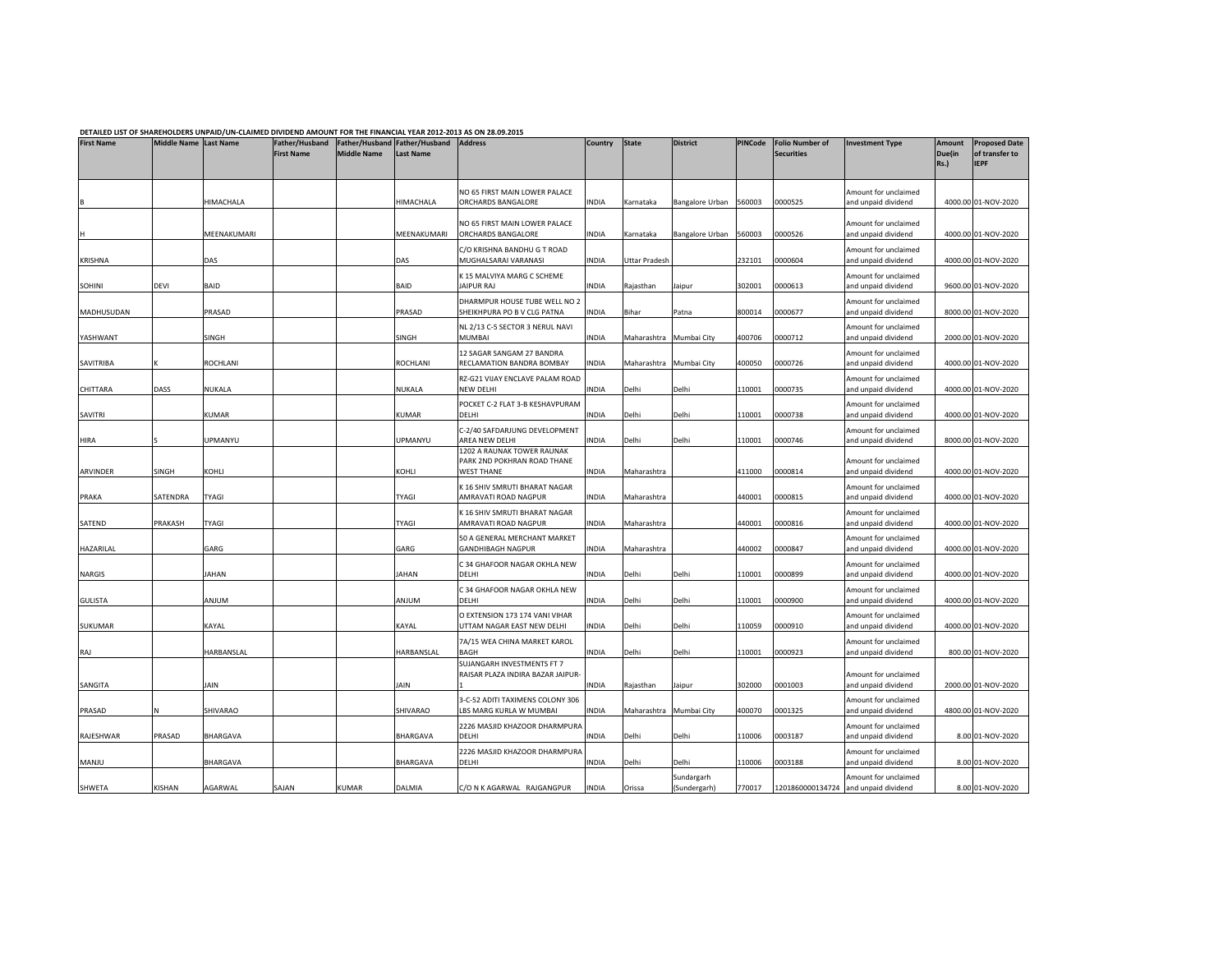|  | DETAILED LIST OF SHAREHOLDERS UNPAID/UN-CLAIMED DIVIDEND AMOUNT FOR THE FINANCIAL YEAR 2012-2013 AS ON 28.09.201! |
|--|-------------------------------------------------------------------------------------------------------------------|
|  |                                                                                                                   |

|                     |                       |                        |                                     | DETAILED LIST OF SHAREHOLDERS UNPAID/UN-CLAIMED DIVIDEND AMOUNT FOR THE FINANCIAL YEAR 2012-2013 AS ON 28.09.2015 |                                                           |                                                                                           |                |                      |                            |                  |                                             |                                                                     |                                        |                                                       |  |  |
|---------------------|-----------------------|------------------------|-------------------------------------|-------------------------------------------------------------------------------------------------------------------|-----------------------------------------------------------|-------------------------------------------------------------------------------------------|----------------|----------------------|----------------------------|------------------|---------------------------------------------|---------------------------------------------------------------------|----------------------------------------|-------------------------------------------------------|--|--|
| <b>First Name</b>   | Middle Name Last Name |                        | Father/Husband<br><b>First Name</b> | <b>Middle Name</b>                                                                                                | Father/Husband Father/Husband Address<br><b>Last Name</b> |                                                                                           | Country        | <b>State</b>         | <b>District</b>            | <b>PINCode</b>   | <b>Folio Number of</b><br><b>Securities</b> | <b>Investment Type</b>                                              | <b>Amount</b><br>Due(in<br><b>Rs.)</b> | <b>Proposed Date</b><br>of transfer to<br><b>IEPF</b> |  |  |
|                     |                       | HIMACHALA              |                                     |                                                                                                                   | <b>HIMACHALA</b>                                          | NO 65 FIRST MAIN LOWER PALACE<br>ORCHARDS BANGALORE                                       | INDIA          | Karnataka            | Bangalore Urban            | 560003           | 0000525                                     | Amount for unclaimed<br>and unpaid dividend                         |                                        | 4000.00 01-NOV-2020                                   |  |  |
|                     |                       | MEENAKUMARI            |                                     |                                                                                                                   | MEENAKUMARI                                               | NO 65 FIRST MAIN LOWER PALACE<br>ORCHARDS BANGALORE                                       | INDIA          | Karnataka            | Bangalore Urban            | 560003           | 0000526                                     | Amount for unclaimed<br>and unpaid dividend                         |                                        | 4000.00 01-NOV-2020                                   |  |  |
| KRISHNA             |                       | DAS                    |                                     |                                                                                                                   | DAS                                                       | C/O KRISHNA BANDHU G T ROAD<br>MUGHALSARAI VARANASI                                       | INDIA          | <b>Uttar Pradesh</b> |                            | 232101           | 0000604                                     | Amount for unclaimed<br>and unpaid dividend                         |                                        | 4000.00 01-NOV-2020                                   |  |  |
| SOHINI              | <b>DEVI</b>           | BAID                   |                                     |                                                                                                                   | BAID                                                      | K 15 MALVIYA MARG C SCHEME<br><b>JAIPUR RAJ</b>                                           | INDIA          | Rajasthan            | Jaipur                     | 302001           | 0000613                                     | Amount for unclaimed<br>and unpaid dividend                         |                                        | 9600.00 01-NOV-2020                                   |  |  |
| MADHUSUDAN          |                       | PRASAD                 |                                     |                                                                                                                   | PRASAD                                                    | DHARMPUR HOUSE TUBE WELL NO 2<br>SHEIKHPURA PO B V CLG PATNA                              | INDIA          | Bihar                | Patna                      | 800014           | 0000677                                     | Amount for unclaimed<br>and unpaid dividend                         |                                        | 8000.00 01-NOV-2020                                   |  |  |
| YASHWANT            |                       | SINGH                  |                                     |                                                                                                                   | SINGH                                                     | NL 2/13 C-5 SECTOR 3 NERUL NAVI<br><b>MUMBAI</b>                                          | <b>INDIA</b>   | Maharashtra          | Mumbai City                | 400706           | 0000712                                     | Amount for unclaimed<br>and unpaid dividend                         |                                        | 2000.00 01-NOV-2020                                   |  |  |
| SAVITRIBA           |                       | ROCHLANI               |                                     |                                                                                                                   | ROCHLANI                                                  | 12 SAGAR SANGAM 27 BANDRA<br>RECLAMATION BANDRA BOMBAY<br>RZ-G21 VIJAY ENCLAVE PALAM ROAD | INDIA          | Maharashtra          | Mumbai City                | 400050           | 0000726                                     | Amount for unclaimed<br>and unpaid dividend<br>Amount for unclaimed |                                        | 4000.00 01-NOV-2020                                   |  |  |
| CHITTARA            | DASS                  | NUKALA                 |                                     |                                                                                                                   | NUKALA                                                    | <b>NEW DELHI</b><br>POCKET C-2 FLAT 3-B KESHAVPURAM                                       | INDIA          | Delhi                | Delhi                      | 110001           | 0000735                                     | and unpaid dividend<br>Amount for unclaimed                         |                                        | 4000.00 01-NOV-2020                                   |  |  |
| SAVITRI             |                       | KUMAR                  |                                     |                                                                                                                   | <b>KUMAR</b>                                              | DELHI<br>C-2/40 SAFDARJUNG DEVELOPMENT                                                    | NDIA           | Delhi                | Delhi                      | 110001           | 0000738                                     | and unpaid dividend<br>Amount for unclaimed                         |                                        | 4000.00 01-NOV-2020                                   |  |  |
| HIRA                |                       | UPMANYU                |                                     |                                                                                                                   | UPMANYU                                                   | AREA NEW DELHI<br>1202 A RAUNAK TOWER RAUNAK<br>PARK 2ND POKHRAN ROAD THANE               | INDIA          | Delhi                | Delhi                      | 110001           | 0000746                                     | and unpaid dividend                                                 |                                        | 8000.00 01-NOV-2020                                   |  |  |
| ARVINDER            | SINGH                 | KOHLI                  |                                     |                                                                                                                   | KOHLI                                                     | <b>WEST THANE</b><br>K 16 SHIV SMRUTI BHARAT NAGAR                                        | INDIA          | Maharashtra          |                            | 411000           | 0000814                                     | Amount for unclaimed<br>and unpaid dividend<br>Amount for unclaimed |                                        | 4000.00 01-NOV-2020                                   |  |  |
| PRAKA               | SATENDRA              | <b>TYAGI</b>           |                                     |                                                                                                                   | <b>TYAGI</b>                                              | AMRAVATI ROAD NAGPUR<br>K 16 SHIV SMRUTI BHARAT NAGAR                                     | INDIA          | Maharashtra          |                            | 440001           | 0000815                                     | and unpaid dividend<br>Amount for unclaimed                         |                                        | 4000.00 01-NOV-2020                                   |  |  |
| SATEND              | PRAKASH               | <b>TYAGI</b>           |                                     |                                                                                                                   | <b>TYAGI</b>                                              | AMRAVATI ROAD NAGPUR<br>50 A GENERAL MERCHANT MARKET                                      | INDIA          | Maharashtra          |                            | 440001           | 0000816                                     | and unpaid dividend<br>Amount for unclaimed                         |                                        | 4000.00 01-NOV-2020                                   |  |  |
| HAZARILAL           |                       | GARG                   |                                     |                                                                                                                   | GARG                                                      | <b>GANDHIBAGH NAGPUR</b><br>C 34 GHAFOOR NAGAR OKHLA NEW                                  | INDIA          | Maharashtra          |                            | 440002           | 0000847                                     | and unpaid dividend<br>Amount for unclaimed                         |                                        | 4000.00 01-NOV-2020                                   |  |  |
| NARGIS              |                       | JAHAN                  |                                     |                                                                                                                   | <b>JAHAN</b>                                              | DELHI<br>C 34 GHAFOOR NAGAR OKHLA NEW                                                     | INDIA          | Delhi                | Delhi                      | 110001           | 0000899                                     | and unpaid dividend<br>Amount for unclaimed                         |                                        | 4000.00 01-NOV-2020                                   |  |  |
| GULISTA             |                       | ANJUM                  |                                     |                                                                                                                   | MULIA                                                     | DELHI<br>O EXTENSION 173 174 VANI VIHAR                                                   | INDIA          | Delhi                | Delhi                      | 110001           | 0000900                                     | and unpaid dividend<br>Amount for unclaimed                         |                                        | 4000.00 01-NOV-2020                                   |  |  |
| SUKUMAR<br>RAJ      |                       | KAYAL<br>HARBANSLAL    |                                     |                                                                                                                   | KAYAL<br>HARBANSLAL                                       | UTTAM NAGAR EAST NEW DELHI<br>7A/15 WEA CHINA MARKET KAROL<br><b>BAGH</b>                 | INDIA<br>INDIA | Delhi<br>Delhi       | Delhi<br>Delhi             | 110059<br>110001 | 0000910<br>0000923                          | and unpaid dividend<br>Amount for unclaimed<br>and unpaid dividend  |                                        | 4000.00 01-NOV-2020<br>800.00 01-NOV-2020             |  |  |
|                     |                       |                        |                                     |                                                                                                                   |                                                           | SUJANGARH INVESTMENTS FT 7<br>RAISAR PLAZA INDIRA BAZAR JAIPUR-                           |                |                      |                            |                  |                                             | Amount for unclaimed                                                |                                        |                                                       |  |  |
| SANGITA             |                       | <b>AIN</b><br>SHIVARAO |                                     |                                                                                                                   | JAIN<br>SHIVARAO                                          | 3-C-52 ADITI TAXIMENS COLONY 306<br>LBS MARG KURLA W MUMBAI                               | INDIA          | Rajasthan            | Jaipur                     | 302000<br>400070 | 0001003<br>0001325                          | and unpaid dividend<br>Amount for unclaimed                         |                                        | 2000.00 01-NOV-2020<br>4800.00 01-NOV-2020            |  |  |
| PRASAD<br>RAJESHWAR | PRASAD                | BHARGAVA               |                                     |                                                                                                                   | BHARGAVA                                                  | 2226 MASJID KHAZOOR DHARMPURA<br>DELHI                                                    | INDIA<br>INDIA | Maharashtra<br>Delhi | Mumbai City<br>Delhi       | 110006           | 0003187                                     | and unpaid dividend<br>Amount for unclaimed<br>and unpaid dividend  |                                        | 8.00 01-NOV-2020                                      |  |  |
| MANJU               |                       | BHARGAVA               |                                     |                                                                                                                   | BHARGAVA                                                  | 2226 MASJID KHAZOOR DHARMPURA<br>DELHI                                                    | INDIA          | Delhi                | Delhi                      | 110006           | 0003188                                     | Amount for unclaimed<br>and unpaid dividend                         |                                        | 8.00 01-NOV-2020                                      |  |  |
| <b>SHWETA</b>       | <b>KISHAN</b>         | AGARWAL                | SAJAN                               | KUMAR                                                                                                             | DALMIA                                                    | C/O N K AGARWAL RAJGANGPUR                                                                | INDIA          | Orissa               | Sundargarh<br>(Sundergarh) | 770017           | 1201860000134724                            | Amount for unclaimed<br>and unpaid dividend                         |                                        | 8.00 01-NOV-2020                                      |  |  |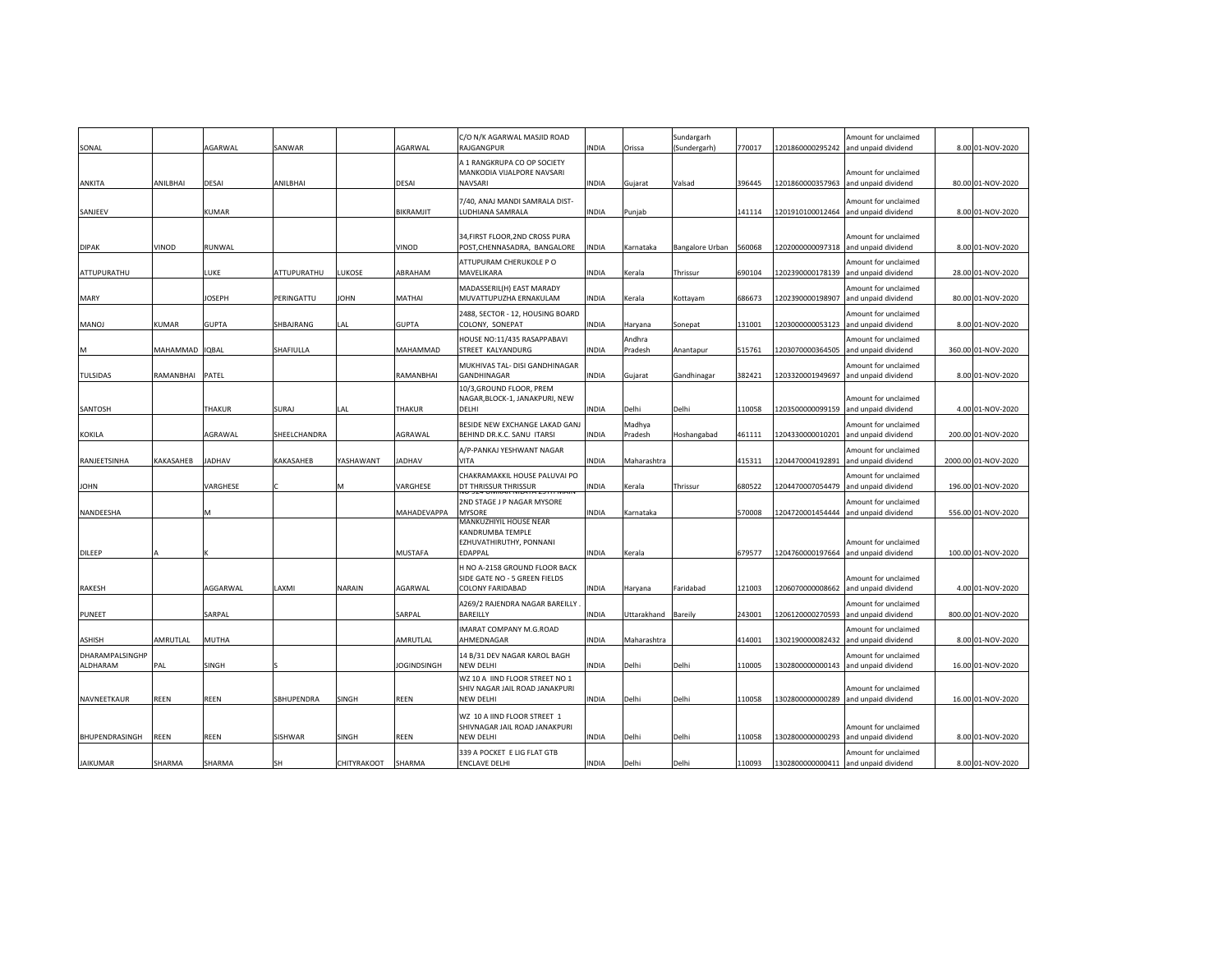| SONAL           |           | AGARWAL       | SANWAR       |               | AGARWAL            | C/O N/K AGARWAL MASJID ROAD<br>RAJGANGPUR                                               | INDIA        | Orissa            | Sundargarh<br>(Sundergarh) | 770017 | 1201860000295242 | Amount for unclaimed<br>and unpaid dividend | 8.00 01-NOV-2020    |
|-----------------|-----------|---------------|--------------|---------------|--------------------|-----------------------------------------------------------------------------------------|--------------|-------------------|----------------------------|--------|------------------|---------------------------------------------|---------------------|
|                 |           |               |              |               |                    | A 1 RANGKRUPA CO OP SOCIETY                                                             |              |                   |                            |        |                  |                                             |                     |
|                 |           |               |              |               |                    | MANKODIA VIJALPORE NAVSARI                                                              |              |                   |                            |        |                  | Amount for unclaimed                        |                     |
| ANKITA          | ANILBHAI  | <b>DESAI</b>  | ANILBHAI     |               | DESAI              | <b>NAVSARI</b>                                                                          | INDIA        | Gujarat           | Valsad                     | 396445 | 1201860000357963 | and unpaid dividend                         | 80.00 01-NOV-2020   |
|                 |           |               |              |               |                    | 7/40, ANAJ MANDI SAMRALA DIST-                                                          |              |                   |                            |        |                  | Amount for unclaimed                        |                     |
| SANJEEV         |           | <b>KUMAR</b>  |              |               | BIKRAMJIT          | LUDHIANA SAMRALA                                                                        | INDIA        | Punjab            |                            | 141114 | 1201910100012464 | and unpaid dividend                         | 8.00 01-NOV-2020    |
| <b>DIPAK</b>    | VINOD     | RUNWAL        |              |               | VINOD              | 34, FIRST FLOOR, 2ND CROSS PURA<br>POST, CHENNASADRA, BANGALORE                         | INDIA        | Karnataka         | <b>Bangalore Urban</b>     | 560068 | 1202000000097318 | Amount for unclaimed<br>and unpaid dividend | 8.00 01-NOV-2020    |
| ATTUPURATHU     |           | LUKE          | ATTUPURATHU  | LUKOSE        | ABRAHAM            | ATTUPURAM CHERUKOLE P O<br>MAVELIKARA                                                   | INDIA        | Kerala            | Thrissur                   | 690104 | 1202390000178139 | Amount for unclaimed<br>and unpaid dividend | 28.00 01-NOV-2020   |
| MARY            |           | JOSEPH        | PERINGATTU   | JOHN          | MATHAI             | MADASSERIL(H) EAST MARADY<br>MUVATTUPUZHA ERNAKULAM                                     | INDIA        | Kerala            | Kottayam                   | 686673 | 1202390000198907 | Amount for unclaimed<br>and unpaid dividend | 80.00 01-NOV-2020   |
| <b>MANOJ</b>    | KUMAR     | <b>GUPTA</b>  | SHBAJRANG    | LAL           | <b>GUPTA</b>       | 2488, SECTOR - 12, HOUSING BOARD<br>COLONY, SONEPAT                                     | INDIA        | Haryana           | Sonepat                    | 131001 | 1203000000053123 | Amount for unclaimed<br>and unpaid dividend | 8.00 01-NOV-2020    |
| м               | MAHAMMAD  | <b>IQBAL</b>  | SHAFIULLA    |               | MAHAMMAD           | HOUSE NO:11/435 RASAPPABAVI<br>STREET KALYANDURG                                        | INDIA        | Andhra<br>Pradesh | Anantapur                  | 515761 | 1203070000364505 | Amount for unclaimed<br>and unpaid dividend | 360.00 01-NOV-2020  |
| <b>TULSIDAS</b> | RAMANBHAI | PATEL         |              |               | RAMANBHAI          | MUKHIVAS TAL- DISI GANDHINAGAR<br><b>GANDHINAGAR</b>                                    | INDIA        | Gujarat           | Gandhinagar                | 382421 | 1203320001949697 | Amount for unclaimed<br>and unpaid dividend | 8.00 01-NOV-2020    |
| SANTOSH         |           | <b>THAKUR</b> | SURAJ        | LAL           | THAKUR             | 10/3, GROUND FLOOR, PREM<br>NAGAR, BLOCK-1, JANAKPURI, NEW<br>DELHI                     | INDIA        | Delhi             | Delhi                      | 110058 | 1203500000099159 | Amount for unclaimed<br>and unpaid dividend | 4.00 01-NOV-2020    |
|                 |           |               |              |               |                    | BESIDE NEW EXCHANGE LAKAD GANJ                                                          |              | Madhya            |                            |        |                  | Amount for unclaimed                        |                     |
| KOKILA          |           | AGRAWAL       | SHEELCHANDRA |               | AGRAWAL            | BEHIND DR.K.C. SANU ITARSI                                                              | <b>NDIA</b>  | Pradesh           | Hoshangabad                | 461111 | 1204330000010201 | and unpaid dividend                         | 200.00 01-NOV-2020  |
| RANJEETSINHA    | KAKASAHEB | <b>JADHAV</b> | KAKASAHEB    | YASHAWANT     | <b>JADHAV</b>      | A/P-PANKAJ YESHWANT NAGAR<br>VITA                                                       | INDIA        | Maharashtra       |                            | 415311 | 1204470004192891 | Amount for unclaimed<br>and unpaid dividend | 2000.00 01-NOV-2020 |
| <b>JOHN</b>     |           | VARGHESE      |              | M             | VARGHESE           | CHAKRAMAKKIL HOUSE PALUVAI PO<br>DT THRISSUR THRISSUR                                   | INDIA        | Kerala            | Thrissur                   | 680522 | 1204470007054479 | Amount for unclaimed<br>and unpaid dividend | 196.00 01-NOV-2020  |
| NANDEESHA       |           |               |              |               | MAHADEVAPPA        | 2ND STAGE J P NAGAR MYSORE<br><b>MYSORE</b>                                             | INDIA        | Karnataka         |                            | 570008 | 1204720001454444 | Amount for unclaimed<br>and unpaid dividend | 556.00 01-NOV-2020  |
| DILEEP          |           |               |              |               | MUSTAFA            | MANKUZHIYIL HOUSE NEAR<br>KANDRUMBA TEMPLE<br>EZHUVATHIRUTHY, PONNANI<br><b>EDAPPAL</b> | INDIA        | Kerala            |                            | 679577 | 1204760000197664 | Amount for unclaimed<br>and unpaid dividend | 100.00 01-NOV-2020  |
|                 |           |               |              |               |                    | H NO A-2158 GROUND FLOOR BACK<br>SIDE GATE NO - 5 GREEN FIELDS                          |              |                   |                            |        |                  | Amount for unclaimed                        |                     |
| RAKESH          |           | AGGARWAL      | LAXMI        | <b>NARAIN</b> | AGARWAL            | <b>COLONY FARIDABAD</b>                                                                 | INDIA        | Haryana           | Faridabad                  | 121003 | 1206070000008662 | and unpaid dividend                         | 4.00 01-NOV-2020    |
|                 |           |               |              |               |                    | A269/2 RAJENDRA NAGAR BAREILLY                                                          |              |                   |                            |        |                  | Amount for unclaimed                        |                     |
| PUNEET          |           | SARPAL        |              |               | SARPAL             | <b>BAREILLY</b>                                                                         | INDIA        | Jttarakhand       | Bareily                    | 243001 | 1206120000270593 | and unpaid dividend                         | 800.00 01-NOV-2020  |
| ASHISH          | AMRUTLAL  | MUTHA         |              |               | AMRUTLAL           | IMARAT COMPANY M.G.ROAD<br>AHMEDNAGAR                                                   | INDIA        | Maharashtra       |                            | 414001 | 1302190000082432 | Amount for unclaimed<br>and unpaid dividend | 8.00 01-NOV-2020    |
| DHARAMPALSINGHP |           |               |              |               |                    | 14 B/31 DEV NAGAR KAROL BAGH                                                            |              |                   |                            |        |                  | Amount for unclaimed                        |                     |
| ALDHARAM        | PAL       | SINGH         |              |               | <b>JOGINDSINGH</b> | <b>NEW DELHI</b>                                                                        | INDIA        | Delhi             | Delhi                      | 110005 | 1302800000000143 | and unpaid dividend                         | 16.00 01-NOV-2020   |
|                 |           |               |              |               |                    | WZ 10 A IIND FLOOR STREET NO 1                                                          |              |                   |                            |        |                  |                                             |                     |
| NAVNEETKAUR     | REEN      | <b>REEN</b>   | SBHUPENDRA   | SINGH         | REEN               | SHIV NAGAR JAIL ROAD JANAKPURI<br><b>NEW DELHI</b>                                      | INDIA        | Delhi             | Delhi                      | 110058 | 1302800000000289 | Amount for unclaimed<br>and unpaid dividend | 16.00 01-NOV-2020   |
|                 |           |               |              |               |                    | WZ 10 A IIND FLOOR STREET 1<br>SHIVNAGAR JAIL ROAD JANAKPURI                            |              |                   |                            |        |                  | Amount for unclaimed                        |                     |
| BHUPENDRASINGH  | REEN      | REEN          | SISHWAR      | <b>SINGH</b>  | REEN               | <b>NEW DELHI</b>                                                                        | INDIA        | Delhi             | Delhi                      | 110058 | 1302800000000293 | and unpaid dividend                         | 8.00 01-NOV-2020    |
|                 |           |               |              |               |                    | 339 A POCKET E LIG FLAT GTB                                                             |              |                   |                            |        |                  | Amount for unclaimed                        |                     |
| <b>JAIKUMAR</b> | SHARMA    | SHARMA        | SH           | CHITYRAKOOT   | SHARMA             | <b>ENCLAVE DELHI</b>                                                                    | <b>INDIA</b> | Delhi             | Delhi                      | 110093 |                  | 1302800000000411 and unpaid dividend        | 8.00 01-NOV-2020    |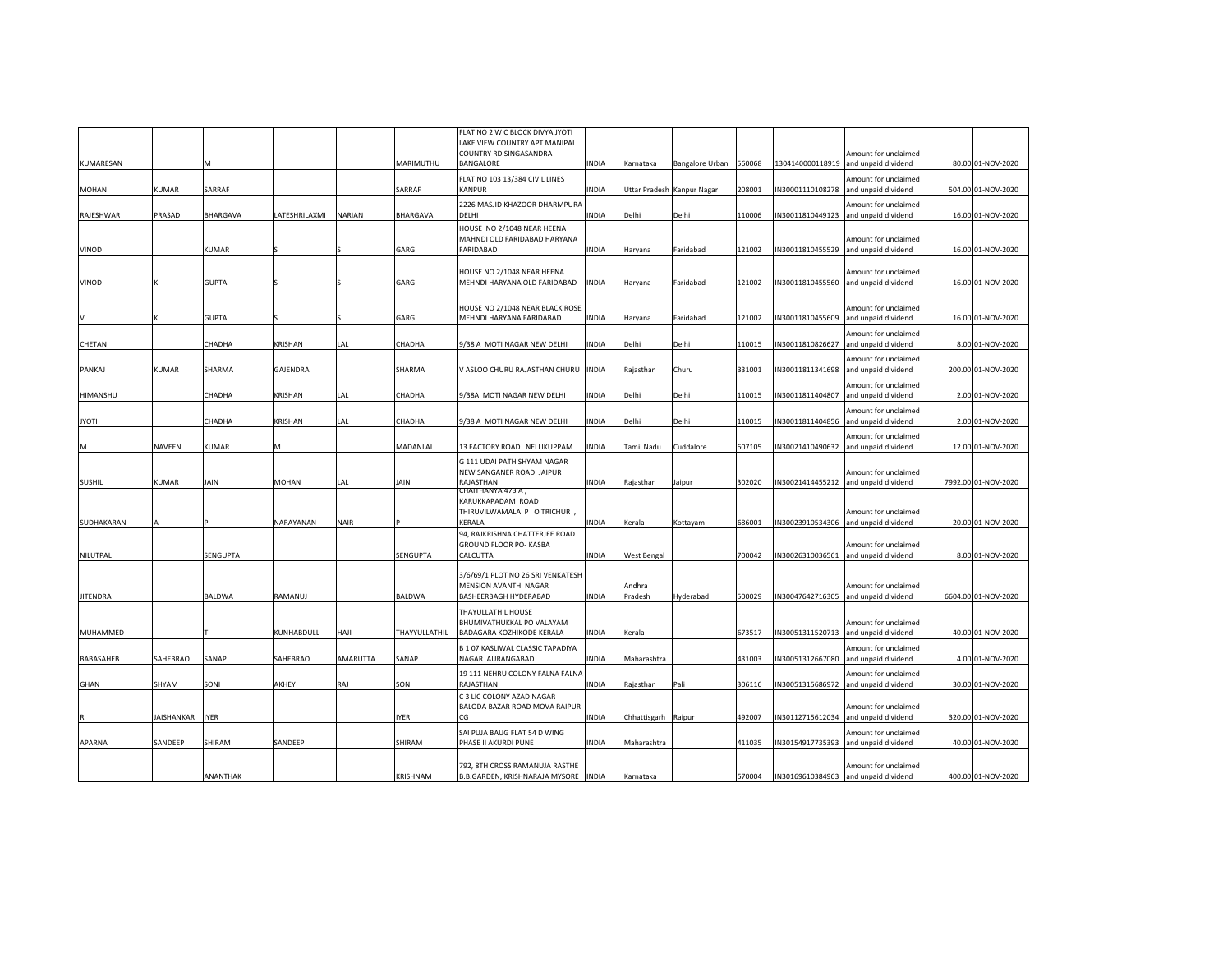| KUMARESAN     |              |              |                |          | MARIMUTHU     | FLAT NO 2 W C BLOCK DIVYA JYOTI<br>LAKE VIEW COUNTRY APT MANIPAL<br>COUNTRY RD SINGASANDRA<br>BANGALORE | <b>INDIA</b> | Karnataka           | Bangalore Urban            | 560068 | 1304140000118919 | Amount for unclaimed<br>and unpaid dividend | 80.00 01-NOV-2020   |
|---------------|--------------|--------------|----------------|----------|---------------|---------------------------------------------------------------------------------------------------------|--------------|---------------------|----------------------------|--------|------------------|---------------------------------------------|---------------------|
| MOHAN         | <b>KUMAR</b> | SARRAF       |                |          | SARRAF        | FLAT NO 103 13/384 CIVIL LINES<br><b>KANPUR</b>                                                         | <b>INDIA</b> |                     | Uttar Pradesh Kanpur Nagar | 208001 | IN30001110108278 | Amount for unclaimed<br>and unpaid dividend | 504.00 01-NOV-2020  |
|               |              |              |                |          |               | 2226 MASJID KHAZOOR DHARMPURA                                                                           |              |                     |                            |        |                  | Amount for unclaimed                        |                     |
| RAJESHWAR     | PRASAD       | BHARGAVA     | LATESHRILAXMI  | NARIAN   | BHARGAVA      | DELHI<br>HOUSE NO 2/1048 NEAR HEENA                                                                     | <b>INDIA</b> | Delhi               | Delhi                      | 110006 | IN30011810449123 | and unpaid dividend                         | 16.00 01-NOV-2020   |
| VINOD         |              | <b>(UMAR</b> |                |          | GARG          | MAHNDI OLD FARIDABAD HARYANA<br><b>FARIDABAD</b>                                                        | INDIA        | Haryana             | Faridabad                  | 121002 | IN30011810455529 | Amount for unclaimed<br>and unpaid dividend | 16.00 01-NOV-2020   |
|               |              |              |                |          |               | HOUSE NO 2/1048 NEAR HEENA                                                                              |              |                     |                            |        |                  | Amount for unclaimed                        |                     |
| VINOD         |              | <b>GUPTA</b> |                |          | GARG          | MEHNDI HARYANA OLD FARIDABAD                                                                            | <b>INDIA</b> | Haryana             | Faridabad                  | 121002 | IN30011810455560 | and unpaid dividend                         | 16.00 01-NOV-2020   |
|               |              | <b>GUPTA</b> |                |          | GARG          | HOUSE NO 2/1048 NEAR BLACK ROSE<br>MEHNDI HARYANA FARIDABAD                                             | <b>INDIA</b> | Haryana             | Faridabad                  | 121002 | IN30011810455609 | Amount for unclaimed<br>and unpaid dividend | 16.00 01-NOV-2020   |
| CHETAN        |              | CHADHA       | KRISHAN        | LAL      | CHADHA        | 9/38 A MOTI NAGAR NEW DELHI                                                                             | <b>INDIA</b> | Delhi               | Delhi                      | 110015 | IN30011810826627 | Amount for unclaimed<br>and unpaid dividend | 8.00 01-NOV-2020    |
| PANKAJ        | KUMAR        | SHARMA       | GAJENDRA       |          | SHARMA        | V ASLOO CHURU RAJASTHAN CHURU  INDIA                                                                    |              | Rajasthan           | Churu                      | 331001 | IN30011811341698 | Amount for unclaimed<br>and unpaid dividend | 200.00 01-NOV-2020  |
| HIMANSHU      |              | CHADHA       | KRISHAN        | LAL      | CHADHA        | 9/38A MOTI NAGAR NEW DELHI                                                                              | <b>INDIA</b> | Delhi               | Delhi                      | 10015  | IN30011811404807 | Amount for unclaimed<br>and unpaid dividend | 2.00 01-NOV-2020    |
|               |              |              |                |          |               |                                                                                                         |              |                     |                            |        |                  | Amount for unclaimed                        |                     |
| <b>IYOTI</b>  |              | CHADHA       | <b>KRISHAN</b> | LAL      | CHADHA        | 9/38 A MOTI NAGAR NEW DELHI                                                                             | <b>INDIA</b> | Delhi               | Delhi                      | 110015 | IN30011811404856 | and unpaid dividend                         | 2.00 01-NOV-2020    |
|               | NAVEEN       | KUMAR        | M              |          | MADANLAL      | 13 FACTORY ROAD NELLIKUPPAM                                                                             | INDIA        | Tamil Nadu          | Cuddalore                  | 607105 | IN30021410490632 | Amount for unclaimed<br>and unpaid dividend | 12.00 01-NOV-2020   |
| <b>SUSHIL</b> | <b>KUMAR</b> | JAIN         | <b>MOHAN</b>   | LAL      | JAIN          | G 111 UDAI PATH SHYAM NAGAR<br>NEW SANGANER ROAD JAIPUR<br>RAJASTHAN                                    | <b>INDIA</b> | Rajasthan           | Jaipur                     | 302020 | IN30021414455212 | Amount for unclaimed<br>and unpaid dividend | 7992.00 01-NOV-2020 |
|               |              |              |                |          |               | CHAITHANYA 473 A,<br>KARUKKAPADAM ROAD<br>THIRUVILWAMALA P O TRICHUR,                                   |              |                     |                            |        |                  | Amount for unclaimed                        |                     |
| SUDHAKARAN    |              |              | NARAYANAN      | NAIR     |               | KERALA                                                                                                  | <b>INDIA</b> | Kerala              | Kottayam                   | 686001 | IN30023910534306 | and unpaid dividend                         | 20.00 01-NOV-2020   |
| NILUTPAL      |              | SENGUPTA     |                |          | SENGUPTA      | 94, RAJKRISHNA CHATTERJEE ROAD<br>GROUND FLOOR PO- KASBA<br>CALCUTTA                                    | <b>INDIA</b> | West Bengal         |                            | 700042 | IN30026310036561 | Amount for unclaimed<br>and unpaid dividend | 8.00 01-NOV-2020    |
|               |              |              |                |          |               | 3/6/69/1 PLOT NO 26 SRI VENKATESH<br>MENSION AVANTHI NAGAR                                              |              | Andhra              |                            |        |                  | Amount for unclaimed                        |                     |
| JITENDRA      |              | BALDWA       | RAMANUJ        |          | BALDWA        | BASHEERBAGH HYDERABAD                                                                                   | INDIA        | Pradesh             | Hyderabad                  | 500029 | IN30047642716305 | and unpaid dividend                         | 6604.00 01-NOV-2020 |
| MUHAMMED      |              |              | KUNHABDULL     | HAJI     | THAYYULLATHIL | THAYULLATHIL HOUSE<br>BHUMIVATHUKKAL PO VALAYAM<br>BADAGARA KOZHIKODE KERALA                            | <b>INDIA</b> | Kerala              |                            | 673517 | IN30051311520713 | Amount for unclaimed<br>and unpaid dividend | 40.00 01-NOV-2020   |
|               |              |              |                |          |               | B 1 07 KASLIWAL CLASSIC TAPADIYA                                                                        |              |                     |                            |        |                  | Amount for unclaimed                        |                     |
| BABASAHEB     | SAHEBRAO     | SANAP        | SAHEBRAO       | AMARUTTA | SANAP         | NAGAR AURANGABAD                                                                                        | <b>INDIA</b> | Maharashtra         |                            | 431003 | IN30051312667080 | and unpaid dividend                         | 4.00 01-NOV-2020    |
| GHAN          | SHYAM        | SONI         | AKHEY          | RAJ      | SONI          | 19 111 NEHRU COLONY FALNA FALNA<br>RAJASTHAN                                                            | <b>INDIA</b> | Rajasthan           | Pali                       | 306116 | IN30051315686972 | Amount for unclaimed<br>and unpaid dividend | 30.00 01-NOV-2020   |
|               | JAISHANKAR   | IYER         |                |          | IYER          | C 3 LIC COLONY AZAD NAGAR<br>BALODA BAZAR ROAD MOVA RAIPUR<br>CG                                        | <b>INDIA</b> | Chhattisgarh Raipur |                            | 492007 | IN30112715612034 | Amount for unclaimed<br>and unpaid dividend | 320.00 01-NOV-2020  |
| APARNA        | SANDEEP      | SHIRAM       | SANDEEP        |          | SHIRAM        | SAI PUJA BAUG FLAT 54 D WING<br>PHASE II AKURDI PUNE                                                    | <b>INDIA</b> | Maharashtra         |                            | 411035 | IN30154917735393 | Amount for unclaimed<br>and unpaid dividend | 40.00 01-NOV-2020   |
|               |              |              |                |          |               | 792, 8TH CROSS RAMANUJA RASTHE                                                                          |              |                     |                            |        |                  | Amount for unclaimed                        |                     |